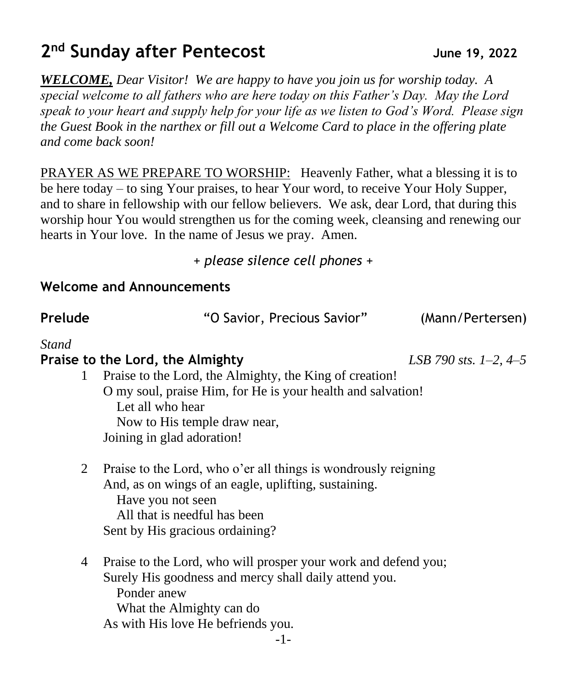## **2 nd Sunday after Pentecost June 19, 2022**

*WELCOME, Dear Visitor! We are happy to have you join us for worship today. A special welcome to all fathers who are here today on this Father's Day. May the Lord speak to your heart and supply help for your life as we listen to God's Word. Please sign the Guest Book in the narthex or fill out a Welcome Card to place in the offering plate and come back soon!* 

PRAYER AS WE PREPARE TO WORSHIP: Heavenly Father, what a blessing it is to be here today – to sing Your praises, to hear Your word, to receive Your Holy Supper, and to share in fellowship with our fellow believers. We ask, dear Lord, that during this worship hour You would strengthen us for the coming week, cleansing and renewing our hearts in Your love. In the name of Jesus we pray. Amen.

*+ please silence cell phones +*

#### **Welcome and Announcements**

**Prelude** "O Savior, Precious Savior" (Mann/Pertersen)

#### *Stand*

#### **Praise to the Lord, the Almighty** *LSB 790 sts. 1–2, 4–5*

- 1 Praise to the Lord, the Almighty, the King of creation! O my soul, praise Him, for He is your health and salvation! Let all who hear Now to His temple draw near, Joining in glad adoration!
- 2 Praise to the Lord, who o'er all things is wondrously reigning And, as on wings of an eagle, uplifting, sustaining. Have you not seen All that is needful has been Sent by His gracious ordaining?
- 4 Praise to the Lord, who will prosper your work and defend you; Surely His goodness and mercy shall daily attend you. Ponder anew What the Almighty can do As with His love He befriends you.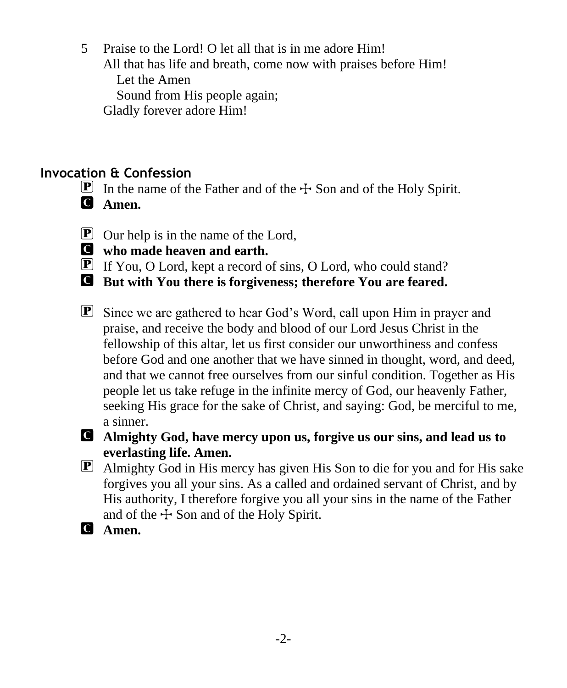5 Praise to the Lord! O let all that is in me adore Him!

All that has life and breath, come now with praises before Him!

Let the Amen

Sound from His people again;

Gladly forever adore Him!

### **Invocation & Confession**

- **P** In the name of the Father and of the  $\pm$  Son and of the Holy Spirit.
- C **Amen.**
- $\boxed{\mathbf{P}}$  Our help is in the name of the Lord,
- C **who made heaven and earth.**
- P If You, O Lord, kept a record of sins, O Lord, who could stand?
- C **But with You there is forgiveness; therefore You are feared.**
- P Since we are gathered to hear God's Word, call upon Him in prayer and praise, and receive the body and blood of our Lord Jesus Christ in the fellowship of this altar, let us first consider our unworthiness and confess before God and one another that we have sinned in thought, word, and deed, and that we cannot free ourselves from our sinful condition. Together as His people let us take refuge in the infinite mercy of God, our heavenly Father, seeking His grace for the sake of Christ, and saying: God, be merciful to me, a sinner.
- 

### C **Almighty God, have mercy upon us, forgive us our sins, and lead us to everlasting life. Amen.**

- P Almighty God in His mercy has given His Son to die for you and for His sake forgives you all your sins. As a called and ordained servant of Christ, and by His authority, I therefore forgive you all your sins in the name of the Father and of the  $\pm$  Son and of the Holy Spirit.
- C **Amen.**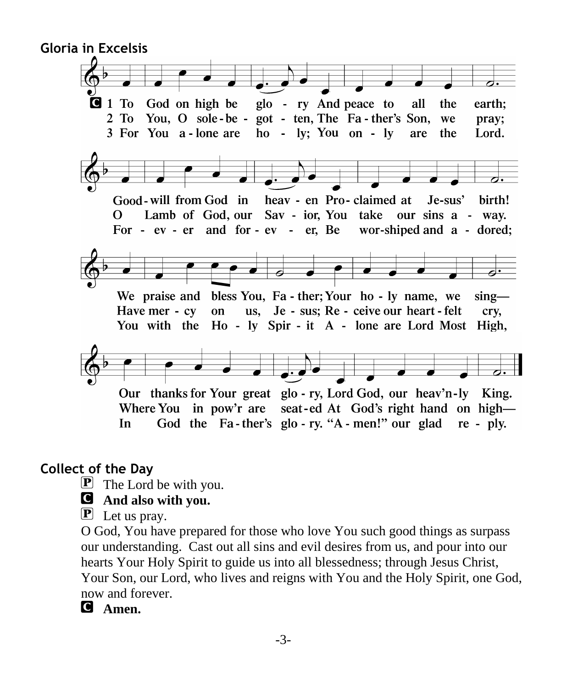

#### **Collect of the Day**

 $\mathbf{P}$  The Lord be with you.

#### C **And also with you.**

 $\mathbf{P}$  Let us pray.

O God, You have prepared for those who love You such good things as surpass our understanding. Cast out all sins and evil desires from us, and pour into our hearts Your Holy Spirit to guide us into all blessedness; through Jesus Christ, Your Son, our Lord, who lives and reigns with You and the Holy Spirit, one God, now and forever.

C **Amen.**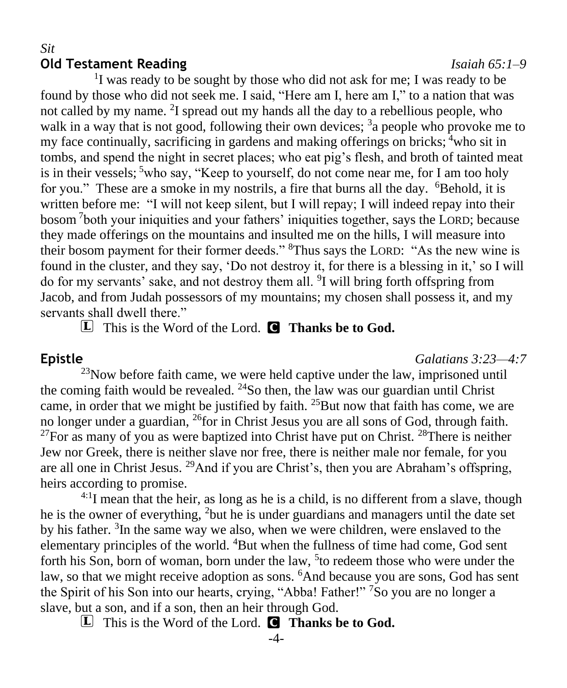#### *Sit* **Old Testament Reading** *Isaiah 65:1–9*

<sup>1</sup>I was ready to be sought by those who did not ask for me; I was ready to be found by those who did not seek me. I said, "Here am I, here am I," to a nation that was not called by my name. <sup>2</sup>I spread out my hands all the day to a rebellious people, who walk in a way that is not good, following their own devices;  $3a$  people who provoke me to my face continually, sacrificing in gardens and making offerings on bricks; <sup>4</sup>who sit in tombs, and spend the night in secret places; who eat pig's flesh, and broth of tainted meat is in their vessels;  $5$ who say, "Keep to yourself, do not come near me, for I am too holy for you." These are a smoke in my nostrils, a fire that burns all the day. <sup>6</sup>Behold, it is written before me: "I will not keep silent, but I will repay; I will indeed repay into their bosom <sup>7</sup> both your iniquities and your fathers' iniquities together, says the LORD; because they made offerings on the mountains and insulted me on the hills, I will measure into their bosom payment for their former deeds." <sup>8</sup>Thus says the LORD: "As the new wine is found in the cluster, and they say, 'Do not destroy it, for there is a blessing in it,' so I will do for my servants' sake, and not destroy them all. <sup>9</sup>I will bring forth offspring from Jacob, and from Judah possessors of my mountains; my chosen shall possess it, and my servants shall dwell there."

L This is the Word of the Lord. C **Thanks be to God.**

#### **Epistle** *Galatians 3:23—4:7*

 $^{23}$ Now before faith came, we were held captive under the law, imprisoned until the coming faith would be revealed.  $24$ So then, the law was our guardian until Christ came, in order that we might be justified by faith.  $25$ But now that faith has come, we are no longer under a guardian, <sup>26</sup>for in Christ Jesus you are all sons of God, through faith.  $^{27}$ For as many of you as were baptized into Christ have put on Christ.  $^{28}$ There is neither Jew nor Greek, there is neither slave nor free, there is neither male nor female, for you are all one in Christ Jesus. <sup>29</sup>And if you are Christ's, then you are Abraham's offspring, heirs according to promise.

 $4:1$ I mean that the heir, as long as he is a child, is no different from a slave, though he is the owner of everything, <sup>2</sup>but he is under guardians and managers until the date set by his father. <sup>3</sup>In the same way we also, when we were children, were enslaved to the elementary principles of the world. <sup>4</sup>But when the fullness of time had come, God sent forth his Son, born of woman, born under the law, <sup>5</sup> to redeem those who were under the law, so that we might receive adoption as sons. <sup>6</sup>And because you are sons, God has sent the Spirit of his Son into our hearts, crying, "Abba! Father!"<sup>7</sup>So you are no longer a slave, but a son, and if a son, then an heir through God.

L This is the Word of the Lord. C **Thanks be to God.**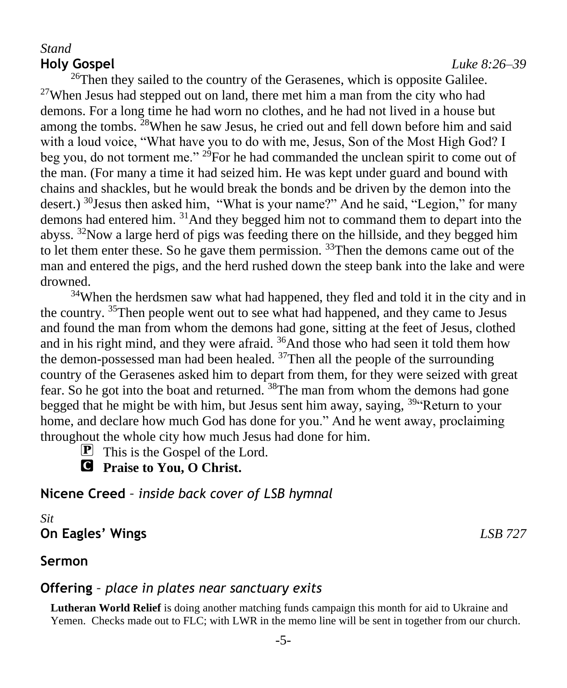#### *Stand* **Holy Gospel** *Luke 8:26–39*

<sup>26</sup>Then they sailed to the country of the Gerasenes, which is opposite Galilee. <sup>27</sup>When Jesus had stepped out on land, there met him a man from the city who had demons. For a long time he had worn no clothes, and he had not lived in a house but among the tombs. <sup>28</sup>When he saw Jesus, he cried out and fell down before him and said with a loud voice, "What have you to do with me, Jesus, Son of the Most High God? I beg you, do not torment me." <sup>29</sup>For he had commanded the unclean spirit to come out of the man. (For many a time it had seized him. He was kept under guard and bound with chains and shackles, but he would break the bonds and be driven by the demon into the desert.) <sup>30</sup>Jesus then asked him, "What is your name?" And he said, "Legion," for many demons had entered him. <sup>31</sup>And they begged him not to command them to depart into the abyss. <sup>32</sup>Now a large herd of pigs was feeding there on the hillside, and they begged him to let them enter these. So he gave them permission.  $33$ Then the demons came out of the man and entered the pigs, and the herd rushed down the steep bank into the lake and were drowned.

<sup>34</sup>When the herdsmen saw what had happened, they fled and told it in the city and in the country. <sup>35</sup>Then people went out to see what had happened, and they came to Jesus and found the man from whom the demons had gone, sitting at the feet of Jesus, clothed and in his right mind, and they were afraid. <sup>36</sup>And those who had seen it told them how the demon-possessed man had been healed.  $37$ Then all the people of the surrounding country of the Gerasenes asked him to depart from them, for they were seized with great fear. So he got into the boat and returned. <sup>38</sup>The man from whom the demons had gone begged that he might be with him, but Jesus sent him away, saying, <sup>39"</sup>Return to your home, and declare how much God has done for you." And he went away, proclaiming throughout the whole city how much Jesus had done for him.

 $\boxed{\mathbf{P}}$  This is the Gospel of the Lord.

C **Praise to You, O Christ.**

**Nicene Creed** *– inside back cover of LSB hymnal*

#### *Sit* **On Eagles' Wings** *LSB 727*

**Sermon** 

#### **Offering** *– place in plates near sanctuary exits*

**Lutheran World Relief** is doing another matching funds campaign this month for aid to Ukraine and Yemen. Checks made out to FLC; with LWR in the memo line will be sent in together from our church.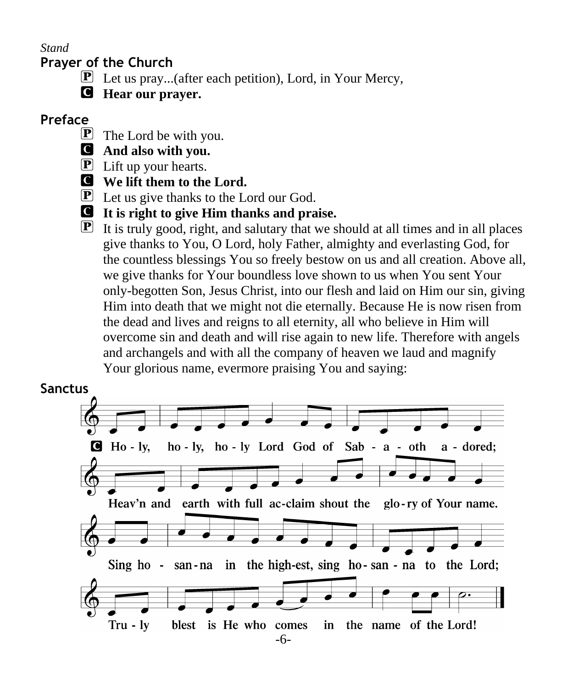*Stand*

#### **Prayer of the Church**

- P Let us pray...(after each petition), Lord, in Your Mercy,
- C **Hear our prayer.**

### **Preface**

- $\mathbf{P}$  The Lord be with you.
- C **And also with you.**
- $\mathbf{P}$  Lift up your hearts.
- C **We lift them to the Lord.**
- $\mathbf{P}$  Let us give thanks to the Lord our God.
- C **It is right to give Him thanks and praise.**
- $\mathbf{P}$  It is truly good, right, and salutary that we should at all times and in all places give thanks to You, O Lord, holy Father, almighty and everlasting God, for the countless blessings You so freely bestow on us and all creation. Above all, we give thanks for Your boundless love shown to us when You sent Your only-begotten Son, Jesus Christ, into our flesh and laid on Him our sin, giving Him into death that we might not die eternally. Because He is now risen from the dead and lives and reigns to all eternity, all who believe in Him will overcome sin and death and will rise again to new life. Therefore with angels and archangels and with all the company of heaven we laud and magnify Your glorious name, evermore praising You and saying:

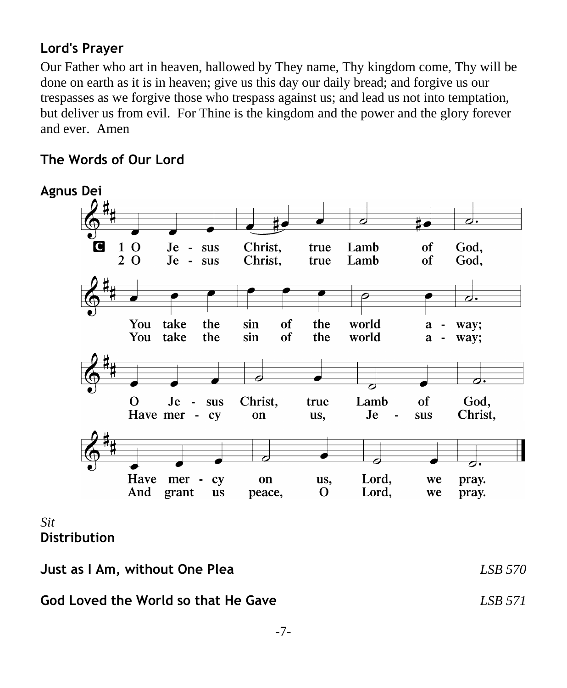### **Lord's Prayer**

Our Father who art in heaven, hallowed by They name, Thy kingdom come, Thy will be done on earth as it is in heaven; give us this day our daily bread; and forgive us our trespasses as we forgive those who trespass against us; and lead us not into temptation, but deliver us from evil. For Thine is the kingdom and the power and the glory forever and ever. Amen

#### **The Words of Our Lord**



#### *Sit* **Distribution**

**Just as I Am, without One Plea** *LSB 570*

#### **God Loved the World so that He Gave** *LSB 571*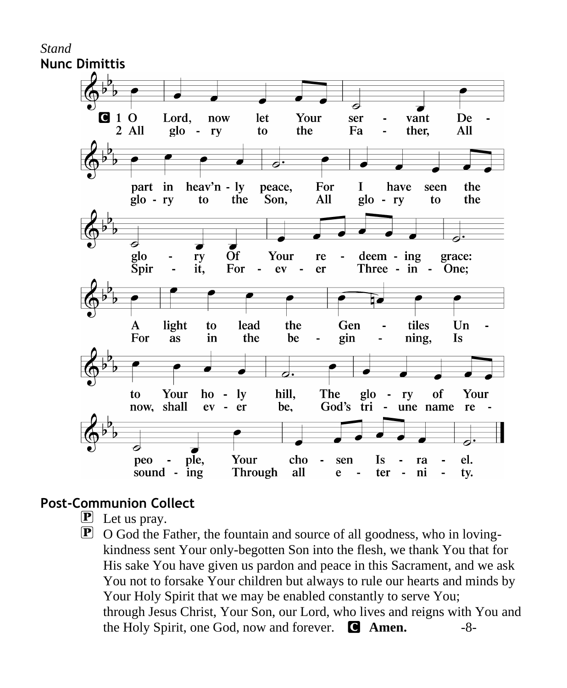

### **Post-Communion Collect**

- $\mathbf{P}$  Let us pray.
- $\mathbf{P}$  O God the Father, the fountain and source of all goodness, who in lovingkindness sent Your only-begotten Son into the flesh, we thank You that for His sake You have given us pardon and peace in this Sacrament, and we ask You not to forsake Your children but always to rule our hearts and minds by Your Holy Spirit that we may be enabled constantly to serve You; through Jesus Christ, Your Son, our Lord, who lives and reigns with You and the Holy Spirit, one God, now and forever. C **Amen.** -8-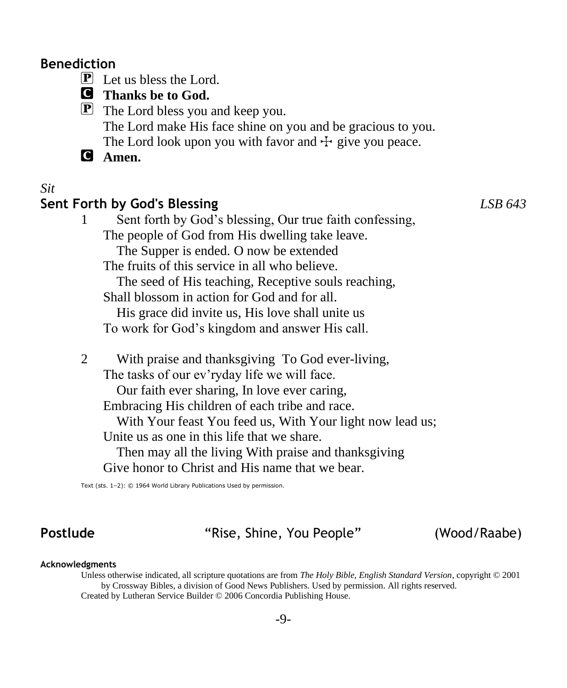#### **Benediction**

 $\boxed{\mathbf{P}}$  Let us bless the Lord.

### C **Thanks be to God.**

P The Lord bless you and keep you. The Lord make His face shine on you and be gracious to you. The Lord look upon you with favor and  $\pm$  give you peace.

C **Amen.**

#### *Sit*

#### **Sent Forth by God's Blessing** *LSB 643*

1 Sent forth by God's blessing, Our true faith confessing, The people of God from His dwelling take leave. The Supper is ended. O now be extended

The fruits of this service in all who believe.

 The seed of His teaching, Receptive souls reaching, Shall blossom in action for God and for all.

 His grace did invite us, His love shall unite us To work for God's kingdom and answer His call.

2 With praise and thanksgiving To God ever-living,

The tasks of our ev'ryday life we will face.

Our faith ever sharing, In love ever caring,

Embracing His children of each tribe and race.

With Your feast You feed us, With Your light now lead us; Unite us as one in this life that we share.

 Then may all the living With praise and thanksgiving Give honor to Christ and His name that we bear.

Text (sts. 1–2): © 1964 World Library Publications Used by permission.

**Postlude** "Rise, Shine, You People" (Wood/Raabe)

#### **Acknowledgments**

Unless otherwise indicated, all scripture quotations are from *The Holy Bible, English Standard Version*, copyright © 2001 by Crossway Bibles, a division of Good News Publishers. Used by permission. All rights reserved. Created by Lutheran Service Builder © 2006 Concordia Publishing House.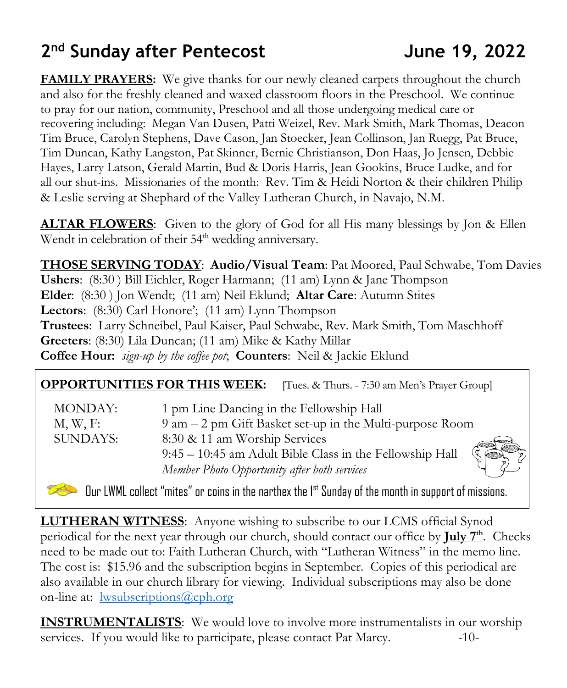# **2 nd Sunday after Pentecost June 19, 2022**

**FAMILY PRAYERS:** We give thanks for our newly cleaned carpets throughout the church and also for the freshly cleaned and waxed classroom floors in the Preschool. We continue to pray for our nation, community, Preschool and all those undergoing medical care or recovering including: Megan Van Dusen, Patti Weizel, Rev. Mark Smith, Mark Thomas, Deacon Tim Bruce, Carolyn Stephens, Dave Cason, Jan Stoecker, Jean Collinson, Jan Ruegg, Pat Bruce, Tim Duncan, Kathy Langston, Pat Skinner, Bernie Christianson, Don Haas, Jo Jensen, Debbie Hayes, Larry Latson, Gerald Martin, Bud & Doris Harris, Jean Gookins, Bruce Ludke, and for all our shut-ins. Missionaries of the month: Rev. Tim & Heidi Norton & their children Philip & Leslie serving at Shephard of the Valley Lutheran Church, in Navajo, N.M.

**ALTAR FLOWERS**: Given to the glory of God for all His many blessings by Jon & Ellen Wendt in celebration of their 54<sup>th</sup> wedding anniversary.

**THOSE SERVING TODAY**: **Audio/Visual Team**: Pat Moored, Paul Schwabe, Tom Davies **Ushers**: (8:30 ) Bill Eichler, Roger Harmann; (11 am) Lynn & Jane Thompson **Elder**: (8:30 ) Jon Wendt; (11 am) Neil Eklund; **Altar Care**: Autumn Stites **Lectors**: (8:30) Carl Honore'; (11 am) Lynn Thompson **Trustees**: Larry Schneibel, Paul Kaiser, Paul Schwabe, Rev. Mark Smith, Tom Maschhoff **Greeters**: (8:30) Lila Duncan; (11 am) Mike & Kathy Millar **Coffee Hour:** *sign-up by the coffee pot*; **Counters**: Neil & Jackie Eklund

#### **OPPORTUNITIES FOR THIS WEEK:** [Tues. & Thurs. - 7:30 am Men's Prayer Group]

| <b>MONDAY:</b>  | 1 pm Line Dancing in the Fellowship Hall                 |
|-----------------|----------------------------------------------------------|
| $M, W, F$ :     | 9 am – 2 pm Gift Basket set-up in the Multi-purpose Room |
| <b>SUNDAYS:</b> | 8:30 & 11 am Worship Services                            |
|                 | 9:45 - 10:45 am Adult Bible Class in the Fellowship Hall |
|                 | Member Photo Opportunity after both services             |
|                 |                                                          |

Our LWML collect "mites" or coins in the narthex the 1st Sunday of the month in support of missions.

**LUTHERAN WITNESS**: Anyone wishing to subscribe to our LCMS official Synod periodical for the next year through our church, should contact our office by **July 7th**. Checks need to be made out to: Faith Lutheran Church, with "Lutheran Witness" in the memo line. The cost is: \$15.96 and the subscription begins in September. Copies of this periodical are also available in our church library for viewing. Individual subscriptions may also be done on-line at: <u>lwsubscriptions@cph.org</u>

**INSTRUMENTALISTS**: We would love to involve more instrumentalists in our worship services. If you would like to participate, please contact Pat Marcy.  $-10$ -